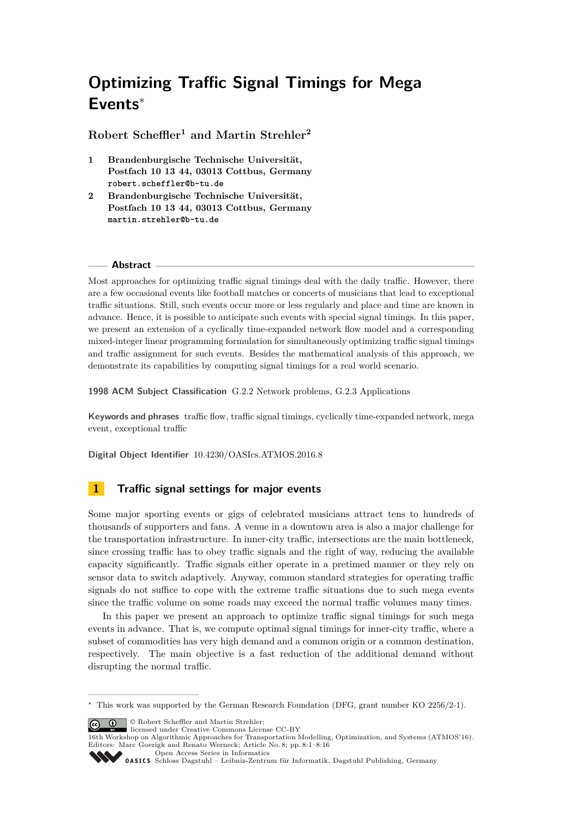# **Optimizing Traffic Signal Timings for Mega Events**<sup>∗</sup>

**Robert Scheffler<sup>1</sup> and Martin Strehler<sup>2</sup>**

- **1 Brandenburgische Technische Universität, Postfach 10 13 44, 03013 Cottbus, Germany robert.scheffler@b-tu.de**
- **2 Brandenburgische Technische Universität, Postfach 10 13 44, 03013 Cottbus, Germany martin.strehler@b-tu.de**

## **Abstract**

Most approaches for optimizing traffic signal timings deal with the daily traffic. However, there are a few occasional events like football matches or concerts of musicians that lead to exceptional traffic situations. Still, such events occur more or less regularly and place and time are known in advance. Hence, it is possible to anticipate such events with special signal timings. In this paper, we present an extension of a cyclically time-expanded network flow model and a corresponding mixed-integer linear programming formulation for simultaneously optimizing traffic signal timings and traffic assignment for such events. Besides the mathematical analysis of this approach, we demonstrate its capabilities by computing signal timings for a real world scenario.

**1998 ACM Subject Classification** G.2.2 Network problems, G.2.3 Applications

**Keywords and phrases** traffic flow, traffic signal timings, cyclically time-expanded network, mega event, exceptional traffic

**Digital Object Identifier** [10.4230/OASIcs.ATMOS.2016.8](http://dx.doi.org/10.4230/OASIcs.ATMOS.2016.8)

## **1 Traffic signal settings for major events**

Some major sporting events or gigs of celebrated musicians attract tens to hundreds of thousands of supporters and fans. A venue in a downtown area is also a major challenge for the transportation infrastructure. In inner-city traffic, intersections are the main bottleneck, since crossing traffic has to obey traffic signals and the right of way, reducing the available capacity significantly. Traffic signals either operate in a pretimed manner or they rely on sensor data to switch adaptively. Anyway, common standard strategies for operating traffic signals do not suffice to cope with the extreme traffic situations due to such mega events since the traffic volume on some roads may exceed the normal traffic volumes many times.

In this paper we present an approach to optimize traffic signal timings for such mega events in advance. That is, we compute optimal signal timings for inner-city traffic, where a subset of commodities has very high demand and a common origin or a common destination, respectively. The main objective is a fast reduction of the additional demand without disrupting the normal traffic.

© Robert Scheffler and Martin Strehler; licensed under Creative Commons License CC-BY

[Open Access Series in Informatics](http://www.dagstuhl.de/oasics/)



<sup>∗</sup> This work was supported by the German Research Foundation (DFG, grant number KO 2256/2-1).

<sup>16</sup>th Workshop on Algorithmic Approaches for Transportation Modelling, Optimization, and Systems (ATMOS'16). Editors: Marc Goerigk and Renato Werneck; Article No. 8; pp. 8:1–8[:16](#page-15-0)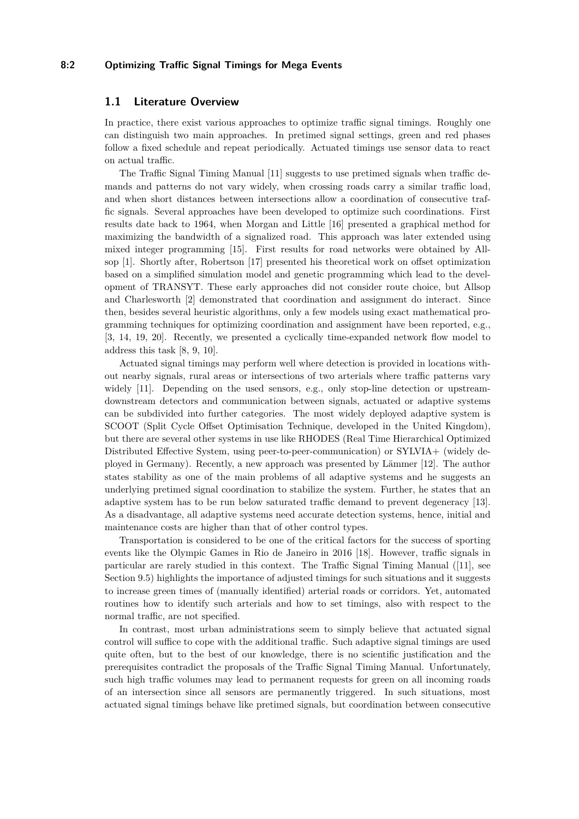## **8:2 Optimizing Traffic Signal Timings for Mega Events**

## **1.1 Literature Overview**

In practice, there exist various approaches to optimize traffic signal timings. Roughly one can distinguish two main approaches. In pretimed signal settings, green and red phases follow a fixed schedule and repeat periodically. Actuated timings use sensor data to react on actual traffic.

The Traffic Signal Timing Manual [\[11\]](#page-14-0) suggests to use pretimed signals when traffic demands and patterns do not vary widely, when crossing roads carry a similar traffic load, and when short distances between intersections allow a coordination of consecutive traffic signals. Several approaches have been developed to optimize such coordinations. First results date back to 1964, when Morgan and Little [\[16\]](#page-14-1) presented a graphical method for maximizing the bandwidth of a signalized road. This approach was later extended using mixed integer programming [\[15\]](#page-14-2). First results for road networks were obtained by Allsop [\[1\]](#page-14-3). Shortly after, Robertson [\[17\]](#page-14-4) presented his theoretical work on offset optimization based on a simplified simulation model and genetic programming which lead to the development of TRANSYT. These early approaches did not consider route choice, but Allsop and Charlesworth [\[2\]](#page-14-5) demonstrated that coordination and assignment do interact. Since then, besides several heuristic algorithms, only a few models using exact mathematical programming techniques for optimizing coordination and assignment have been reported, e.g., [\[3,](#page-14-6) [14,](#page-14-7) [19,](#page-14-8) [20\]](#page-15-1). Recently, we presented a cyclically time-expanded network flow model to address this task [\[8,](#page-14-9) [9,](#page-14-10) [10\]](#page-14-11).

Actuated signal timings may perform well where detection is provided in locations without nearby signals, rural areas or intersections of two arterials where traffic patterns vary widely [\[11\]](#page-14-0). Depending on the used sensors, e.g., only stop-line detection or upstreamdownstream detectors and communication between signals, actuated or adaptive systems can be subdivided into further categories. The most widely deployed adaptive system is SCOOT (Split Cycle Offset Optimisation Technique, developed in the United Kingdom), but there are several other systems in use like RHODES (Real Time Hierarchical Optimized Distributed Effective System, using peer-to-peer-communication) or SYLVIA+ (widely deployed in Germany). Recently, a new approach was presented by Lämmer [\[12\]](#page-14-12). The author states stability as one of the main problems of all adaptive systems and he suggests an underlying pretimed signal coordination to stabilize the system. Further, he states that an adaptive system has to be run below saturated traffic demand to prevent degeneracy [\[13\]](#page-14-13). As a disadvantage, all adaptive systems need accurate detection systems, hence, initial and maintenance costs are higher than that of other control types.

Transportation is considered to be one of the critical factors for the success of sporting events like the Olympic Games in Rio de Janeiro in 2016 [\[18\]](#page-14-14). However, traffic signals in particular are rarely studied in this context. The Traffic Signal Timing Manual ([\[11\]](#page-14-0), see Section 9.5) highlights the importance of adjusted timings for such situations and it suggests to increase green times of (manually identified) arterial roads or corridors. Yet, automated routines how to identify such arterials and how to set timings, also with respect to the normal traffic, are not specified.

In contrast, most urban administrations seem to simply believe that actuated signal control will suffice to cope with the additional traffic. Such adaptive signal timings are used quite often, but to the best of our knowledge, there is no scientific justification and the prerequisites contradict the proposals of the Traffic Signal Timing Manual. Unfortunately, such high traffic volumes may lead to permanent requests for green on all incoming roads of an intersection since all sensors are permanently triggered. In such situations, most actuated signal timings behave like pretimed signals, but coordination between consecutive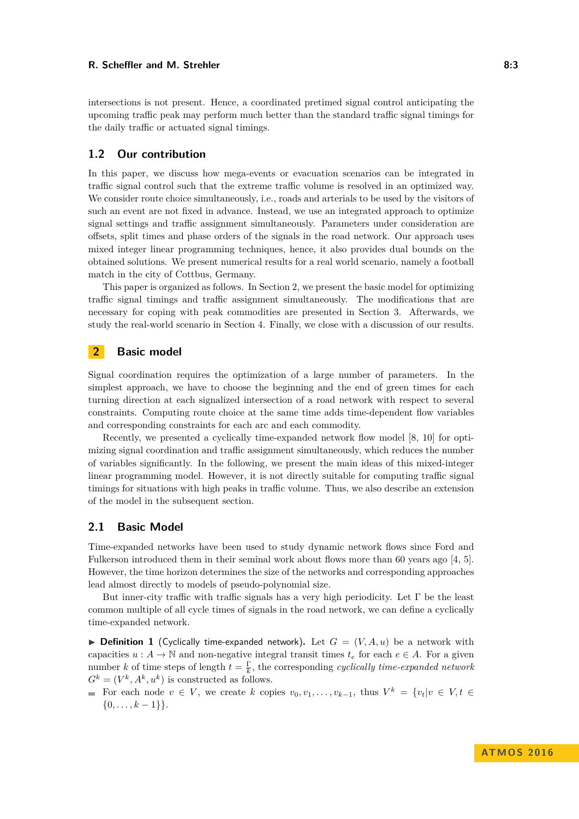#### **R. Scheffler and M. Strehler 8:3**

intersections is not present. Hence, a coordinated pretimed signal control anticipating the upcoming traffic peak may perform much better than the standard traffic signal timings for the daily traffic or actuated signal timings.

## **1.2 Our contribution**

In this paper, we discuss how mega-events or evacuation scenarios can be integrated in traffic signal control such that the extreme traffic volume is resolved in an optimized way. We consider route choice simultaneously, i.e., roads and arterials to be used by the visitors of such an event are not fixed in advance. Instead, we use an integrated approach to optimize signal settings and traffic assignment simultaneously. Parameters under consideration are offsets, split times and phase orders of the signals in the road network. Our approach uses mixed integer linear programming techniques, hence, it also provides dual bounds on the obtained solutions. We present numerical results for a real world scenario, namely a football match in the city of Cottbus, Germany.

This paper is organized as follows. In Section [2,](#page-2-0) we present the basic model for optimizing traffic signal timings and traffic assignment simultaneously. The modifications that are necessary for coping with peak commodities are presented in Section [3.](#page-4-0) Afterwards, we study the real-world scenario in Section [4.](#page-7-0) Finally, we close with a discussion of our results.

## <span id="page-2-0"></span>**2 Basic model**

Signal coordination requires the optimization of a large number of parameters. In the simplest approach, we have to choose the beginning and the end of green times for each turning direction at each signalized intersection of a road network with respect to several constraints. Computing route choice at the same time adds time-dependent flow variables and corresponding constraints for each arc and each commodity.

Recently, we presented a cyclically time-expanded network flow model [\[8,](#page-14-9) [10\]](#page-14-11) for optimizing signal coordination and traffic assignment simultaneously, which reduces the number of variables significantly. In the following, we present the main ideas of this mixed-integer linear programming model. However, it is not directly suitable for computing traffic signal timings for situations with high peaks in traffic volume. Thus, we also describe an extension of the model in the subsequent section.

## **2.1 Basic Model**

Time-expanded networks have been used to study dynamic network flows since Ford and Fulkerson introduced them in their seminal work about flows more than 60 years ago [\[4,](#page-14-15) [5\]](#page-14-16). However, the time horizon determines the size of the networks and corresponding approaches lead almost directly to models of pseudo-polynomial size.

But inner-city traffic with traffic signals has a very high periodicity. Let  $\Gamma$  be the least common multiple of all cycle times of signals in the road network, we can define a cyclically time-expanded network.

<span id="page-2-1"></span>**Definition 1** (Cyclically time-expanded network). Let  $G = (V, A, u)$  be a network with capacities  $u : A \to \mathbb{N}$  and non-negative integral transit times  $t_e$  for each  $e \in A$ . For a given number *k* of time steps of length  $t = \frac{\Gamma}{k}$ , the corresponding *cyclically time-expanded network*  $G^k = (V^k, A^k, u^k)$  is constructed as follows.

For each node  $v \in V$ , we create *k* copies  $v_0, v_1, \ldots, v_{k-1}$ , thus  $V^k = \{v_t | v \in V, t \in V\}$  $\{0, \ldots, k-1\}\}.$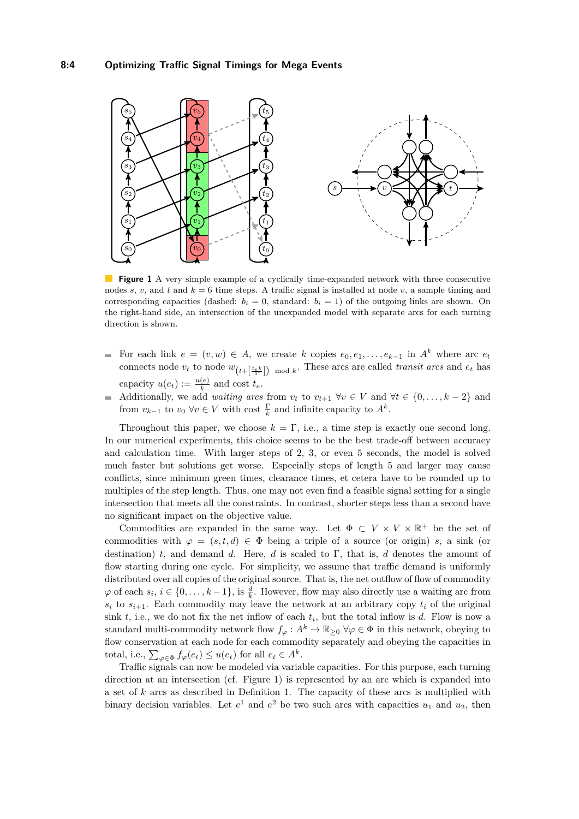<span id="page-3-0"></span>

**Figure 1** A very simple example of a cyclically time-expanded network with three consecutive nodes *s*, *v*, and *t* and  $k = 6$  time steps. A traffic signal is installed at node *v*, a sample timing and corresponding capacities (dashed:  $b_i = 0$ , standard:  $b_i = 1$ ) of the outgoing links are shown. On the right-hand side, an intersection of the unexpanded model with separate arcs for each turning direction is shown.

- For each link  $e = (v, w) \in A$ , we create *k* copies  $e_0, e_1, \ldots, e_{k-1}$  in  $A^k$  where arc  $e_t$ connects node  $v_t$  to node  $w_{(t+\lfloor \frac{te_k}{\Gamma}\rfloor) \mod k}$ . These arcs are called *transit arcs* and  $e_t$  has capacity  $u(e_t) := \frac{u(e)}{k}$  and cost  $t_e$ .
- Additionally, we add *waiting arcs* from  $v_t$  to  $v_{t+1}$   $\forall v \in V$  and  $\forall t \in \{0, \ldots, k-2\}$  and from  $v_{k-1}$  to  $v_0 \ \forall v \in V$  with cost  $\frac{\Gamma}{k}$  and infinite capacity to  $A^k$ .

Throughout this paper, we choose  $k = \Gamma$ , i.e., a time step is exactly one second long. In our numerical experiments, this choice seems to be the best trade-off between accuracy and calculation time. With larger steps of 2, 3, or even 5 seconds, the model is solved much faster but solutions get worse. Especially steps of length 5 and larger may cause conflicts, since minimum green times, clearance times, et cetera have to be rounded up to multiples of the step length. Thus, one may not even find a feasible signal setting for a single intersection that meets all the constraints. In contrast, shorter steps less than a second have no significant impact on the objective value.

Commodities are expanded in the same way. Let  $\Phi \subset V \times V \times \mathbb{R}^+$  be the set of commodities with  $\varphi = (s, t, d) \in \Phi$  being a triple of a source (or origin) *s*, a sink (or destination) *t*, and demand *d*. Here, *d* is scaled to Γ, that is, *d* denotes the amount of flow starting during one cycle. For simplicity, we assume that traffic demand is uniformly distributed over all copies of the original source. That is, the net outflow of flow of commodity  $\varphi$  of each  $s_i, i \in \{0, \ldots, k-1\}$ , is  $\frac{d}{k}$ . However, flow may also directly use a waiting arc from  $s_i$  to  $s_{i+1}$ . Each commodity may leave the network at an arbitrary copy  $t_i$  of the original sink *t*, i.e., we do not fix the net inflow of each *t<sup>i</sup>* , but the total inflow is *d*. Flow is now a standard multi-commodity network flow  $f_\varphi : A^k \to \mathbb{R}_{\geq 0}$   $\forall \varphi \in \Phi$  in this network, obeying to flow conservation at each node for each commodity separately and obeying the capacities in total, i.e.,  $\sum_{\varphi \in \Phi} f_{\varphi}(e_t) \leq u(e_t)$  for all  $e_t \in A^k$ .

Traffic signals can now be modeled via variable capacities. For this purpose, each turning direction at an intersection (cf. Figure [1\)](#page-3-0) is represented by an arc which is expanded into a set of *k* arcs as described in Definition [1.](#page-2-1) The capacity of these arcs is multiplied with binary decision variables. Let  $e^1$  and  $e^2$  be two such arcs with capacities  $u_1$  and  $u_2$ , then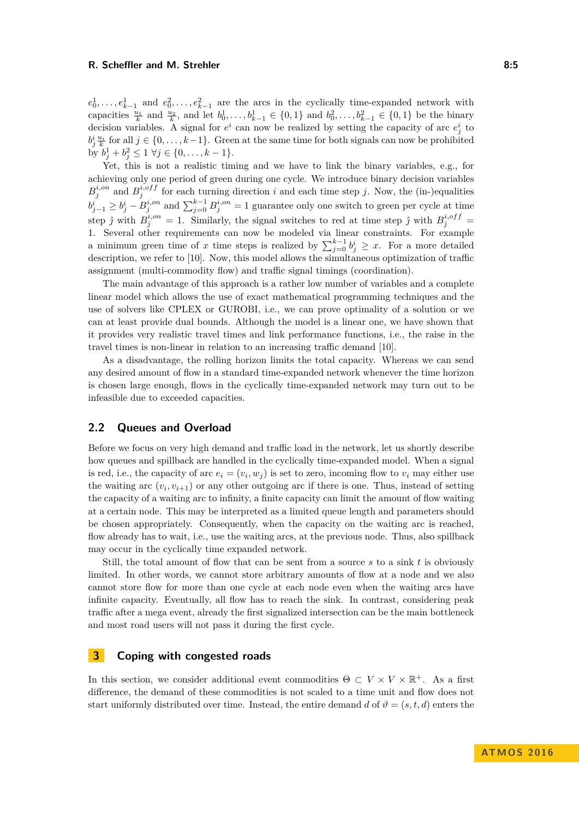#### **R. Scheffler and M. Strehler 8:5** and the strength and the strength and the strength and the strength and the strength and the strength and the strength and the strength and the strength and the strength and the strength

 $e_0^1, \ldots, e_{k-1}^1$  and  $e_0^2, \ldots, e_{k-1}^2$  are the arcs in the cyclically time-expanded network with capacities  $\frac{u_1}{k}$  and  $\frac{u_2}{k}$ , and let  $b_0^1, \ldots, b_{k-1}^1 \in \{0, 1\}$  and  $b_0^2, \ldots, b_{k-1}^2 \in \{0, 1\}$  be the binary decision variables. A signal for  $e^i$  can now be realized by setting the capacity of arc  $e^i_j$  to  $b_j^i \frac{u_i}{k}$  for all  $j \in \{0, \ldots, k-1\}$ . Green at the same time for both signals can now be prohibited by  $b_j^1 + b_j^2 \leq 1 \ \forall j \in \{0, \ldots, k-1\}.$ 

Yet, this is not a realistic timing and we have to link the binary variables, e.g., for achieving only one period of green during one cycle. We introduce binary decision variables  $B_j^{i,on}$  and  $B_j^{i,off}$  for each turning direction *i* and each time step *j*. Now, the (in-)equalities  $b^i_{j-1} \ge b^i_j - B^{i,on}_j$  and  $\sum_{j=0}^{k-1} B^{i,on}_j = 1$  guarantee only one switch to green per cycle at time step  $\hat{j}$  with  $B_j^{i,on} = 1$ . Similarly, the signal switches to red at time step  $\hat{j}$  with  $B_j^{i,off} =$ 1. Several other requirements can now be modeled via linear constraints. For example a minimum green time of *x* time steps is realized by  $\sum_{j=0}^{k-1} b_j^i \geq x$ . For a more detailed description, we refer to [\[10\]](#page-14-11). Now, this model allows the simultaneous optimization of traffic assignment (multi-commodity flow) and traffic signal timings (coordination).

The main advantage of this approach is a rather low number of variables and a complete linear model which allows the use of exact mathematical programming techniques and the use of solvers like CPLEX or GUROBI, i.e., we can prove optimality of a solution or we can at least provide dual bounds. Although the model is a linear one, we have shown that it provides very realistic travel times and link performance functions, i.e., the raise in the travel times is non-linear in relation to an increasing traffic demand [\[10\]](#page-14-11).

As a disadvantage, the rolling horizon limits the total capacity. Whereas we can send any desired amount of flow in a standard time-expanded network whenever the time horizon is chosen large enough, flows in the cyclically time-expanded network may turn out to be infeasible due to exceeded capacities.

## **2.2 Queues and Overload**

Before we focus on very high demand and traffic load in the network, let us shortly describe how queues and spillback are handled in the cyclically time-expanded model. When a signal is red, i.e., the capacity of arc  $e_i = (v_i, w_j)$  is set to zero, incoming flow to  $v_i$  may either use the waiting arc  $(v_i, v_{i+1})$  or any other outgoing arc if there is one. Thus, instead of setting the capacity of a waiting arc to infinity, a finite capacity can limit the amount of flow waiting at a certain node. This may be interpreted as a limited queue length and parameters should be chosen appropriately. Consequently, when the capacity on the waiting arc is reached, flow already has to wait, i.e., use the waiting arcs, at the previous node. Thus, also spillback may occur in the cyclically time expanded network.

Still, the total amount of flow that can be sent from a source *s* to a sink *t* is obviously limited. In other words, we cannot store arbitrary amounts of flow at a node and we also cannot store flow for more than one cycle at each node even when the waiting arcs have infinite capacity. Eventually, all flow has to reach the sink. In contrast, considering peak traffic after a mega event, already the first signalized intersection can be the main bottleneck and most road users will not pass it during the first cycle.

## <span id="page-4-0"></span>**3 Coping with congested roads**

In this section, we consider additional event commodities  $\Theta \subset V \times V \times \mathbb{R}^+$ . As a first difference, the demand of these commodities is not scaled to a time unit and flow does not start uniformly distributed over time. Instead, the entire demand *d* of  $\vartheta = (s, t, d)$  enters the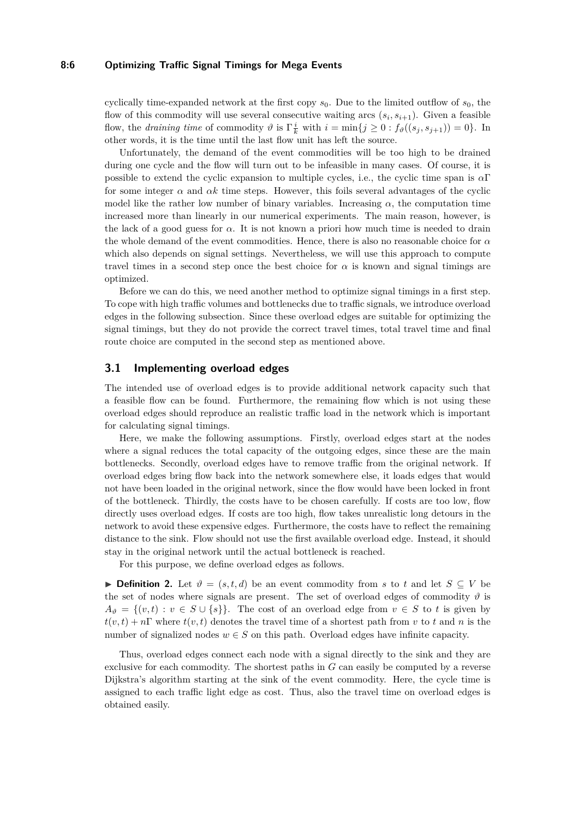#### **8:6 Optimizing Traffic Signal Timings for Mega Events**

cyclically time-expanded network at the first copy  $s_0$ . Due to the limited outflow of  $s_0$ , the flow of this commodity will use several consecutive waiting arcs  $(s_i, s_{i+1})$ . Given a feasible flow, the *draining time* of commodity  $\vartheta$  is  $\Gamma^i_{\overline{k}}$  with  $i = \min\{j \geq 0 : f_{\vartheta}((s_j, s_{j+1})) = 0\}$ . In other words, it is the time until the last flow unit has left the source.

Unfortunately, the demand of the event commodities will be too high to be drained during one cycle and the flow will turn out to be infeasible in many cases. Of course, it is possible to extend the cyclic expansion to multiple cycles, i.e., the cyclic time span is *α*Γ for some integer  $\alpha$  and  $\alpha k$  time steps. However, this foils several advantages of the cyclic model like the rather low number of binary variables. Increasing  $\alpha$ , the computation time increased more than linearly in our numerical experiments. The main reason, however, is the lack of a good guess for  $\alpha$ . It is not known a priori how much time is needed to drain the whole demand of the event commodities. Hence, there is also no reasonable choice for *α* which also depends on signal settings. Nevertheless, we will use this approach to compute travel times in a second step once the best choice for  $\alpha$  is known and signal timings are optimized.

Before we can do this, we need another method to optimize signal timings in a first step. To cope with high traffic volumes and bottlenecks due to traffic signals, we introduce overload edges in the following subsection. Since these overload edges are suitable for optimizing the signal timings, but they do not provide the correct travel times, total travel time and final route choice are computed in the second step as mentioned above.

## **3.1 Implementing overload edges**

The intended use of overload edges is to provide additional network capacity such that a feasible flow can be found. Furthermore, the remaining flow which is not using these overload edges should reproduce an realistic traffic load in the network which is important for calculating signal timings.

Here, we make the following assumptions. Firstly, overload edges start at the nodes where a signal reduces the total capacity of the outgoing edges, since these are the main bottlenecks. Secondly, overload edges have to remove traffic from the original network. If overload edges bring flow back into the network somewhere else, it loads edges that would not have been loaded in the original network, since the flow would have been locked in front of the bottleneck. Thirdly, the costs have to be chosen carefully. If costs are too low, flow directly uses overload edges. If costs are too high, flow takes unrealistic long detours in the network to avoid these expensive edges. Furthermore, the costs have to reflect the remaining distance to the sink. Flow should not use the first available overload edge. Instead, it should stay in the original network until the actual bottleneck is reached.

For this purpose, we define overload edges as follows.

**► Definition 2.** Let  $\vartheta = (s, t, d)$  be an event commodity from *s* to *t* and let  $S \subseteq V$  be the set of nodes where signals are present. The set of overload edges of commodity  $\vartheta$  is  $A_{\vartheta} = \{(v, t) : v \in S \cup \{s\}\}.$  The cost of an overload edge from  $v \in S$  to *t* is given by  $t(v, t) + n\Gamma$  where  $t(v, t)$  denotes the travel time of a shortest path from *v* to *t* and *n* is the number of signalized nodes  $w \in S$  on this path. Overload edges have infinite capacity.

Thus, overload edges connect each node with a signal directly to the sink and they are exclusive for each commodity. The shortest paths in *G* can easily be computed by a reverse Dijkstra's algorithm starting at the sink of the event commodity. Here, the cycle time is assigned to each traffic light edge as cost. Thus, also the travel time on overload edges is obtained easily.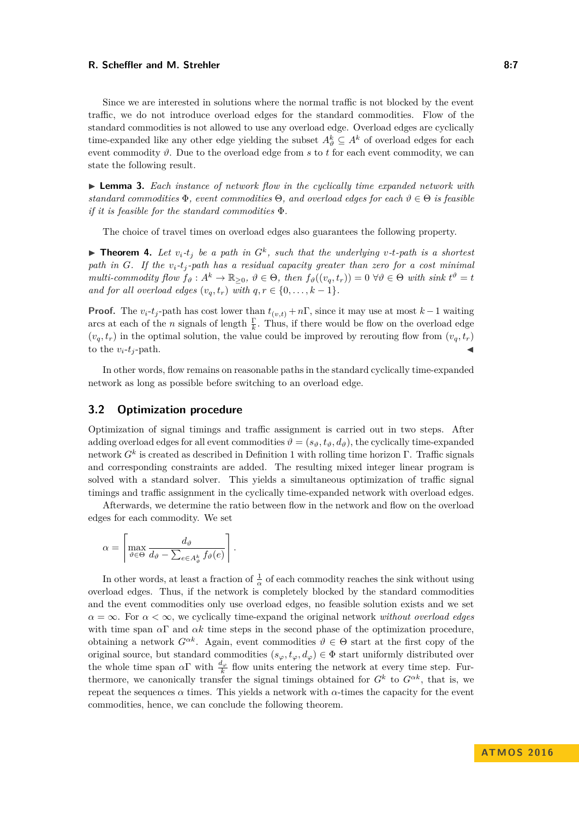#### **R. Scheffler and M. Strehler 8:7 8:7**

Since we are interested in solutions where the normal traffic is not blocked by the event traffic, we do not introduce overload edges for the standard commodities. Flow of the standard commodities is not allowed to use any overload edge. Overload edges are cyclically time-expanded like any other edge yielding the subset  $A_{\vartheta}^{k} \subseteq A^{k}$  of overload edges for each event commodity  $\vartheta$ . Due to the overload edge from s to t for each event commodity, we can state the following result.

▶ **Lemma 3.** *Each instance of network flow in the cyclically time expanded network with standard commodities*  $\Phi$ , event commodities  $\Theta$ , and overload edges for each  $\vartheta \in \Theta$  *is feasible if it is feasible for the standard commodities* Φ*.*

The choice of travel times on overload edges also guarantees the following property.

<span id="page-6-0"></span>**Theorem 4.** Let  $v_i$ - $t_j$  be a path in  $G^k$ , such that the underlying  $v$ -t-path is a shortest *path in G. If the vi-t<sup>j</sup> -path has a residual capacity greater than zero for a cost minimal multi-commodity flow*  $f_{\vartheta}: A^k \to \mathbb{R}_{\geq 0}, \ \vartheta \in \Theta$ , then  $f_{\vartheta}((v_q, t_r)) = 0 \ \forall \vartheta \in \Theta$  with sink  $t^{\vartheta} = t$ *and for all overload edges*  $(v_q, t_r)$  *with*  $q, r \in \{0, \ldots, k-1\}$ *.* 

**Proof.** The  $v_i$ - $t_j$ -path has cost lower than  $t_{(v,t)} + n\Gamma$ , since it may use at most  $k-1$  waiting arcs at each of the *n* signals of length  $\frac{\Gamma}{k}$ . Thus, if there would be flow on the overload edge  $(v_q, t_r)$  in the optimal solution, the value could be improved by rerouting flow from  $(v_q, t_r)$ to the  $v_i$ - $t_j$ -path.

In other words, flow remains on reasonable paths in the standard cyclically time-expanded network as long as possible before switching to an overload edge.

## **3.2 Optimization procedure**

Optimization of signal timings and traffic assignment is carried out in two steps. After adding overload edges for all event commodities  $\vartheta = (s_{\vartheta}, t_{\vartheta}, d_{\vartheta})$ , the cyclically time-expanded network *G<sup>k</sup>* is created as described in Definition [1](#page-2-1) with rolling time horizon Γ. Traffic signals and corresponding constraints are added. The resulting mixed integer linear program is solved with a standard solver. This yields a simultaneous optimization of traffic signal timings and traffic assignment in the cyclically time-expanded network with overload edges.

Afterwards, we determine the ratio between flow in the network and flow on the overload edges for each commodity. We set

$$
\alpha = \left\lceil \max_{\vartheta \in \Theta} \frac{d_{\vartheta}}{d_{\vartheta} - \sum_{e \in A_{\vartheta}^k} f_{\vartheta}(e)} \right\rceil.
$$

In other words, at least a fraction of  $\frac{1}{\alpha}$  of each commodity reaches the sink without using overload edges. Thus, if the network is completely blocked by the standard commodities and the event commodities only use overload edges, no feasible solution exists and we set  $\alpha = \infty$ . For  $\alpha < \infty$ , we cyclically time-expand the original network *without overload edges* with time span  $\alpha \Gamma$  and  $\alpha k$  time steps in the second phase of the optimization procedure, obtaining a network  $G^{\alpha k}$ . Again, event commodities  $\vartheta \in \Theta$  start at the first copy of the original source, but standard commodities  $(s_{\varphi}, t_{\varphi}, d_{\varphi}) \in \Phi$  start uniformly distributed over the whole time span  $\alpha \Gamma$  with  $\frac{d_{\varphi}}{k}$  flow units entering the network at every time step. Furthermore, we canonically transfer the signal timings obtained for  $G^k$  to  $G^{\alpha k}$ , that is, we repeat the sequences  $\alpha$  times. This yields a network with  $\alpha$ -times the capacity for the event commodities, hence, we can conclude the following theorem.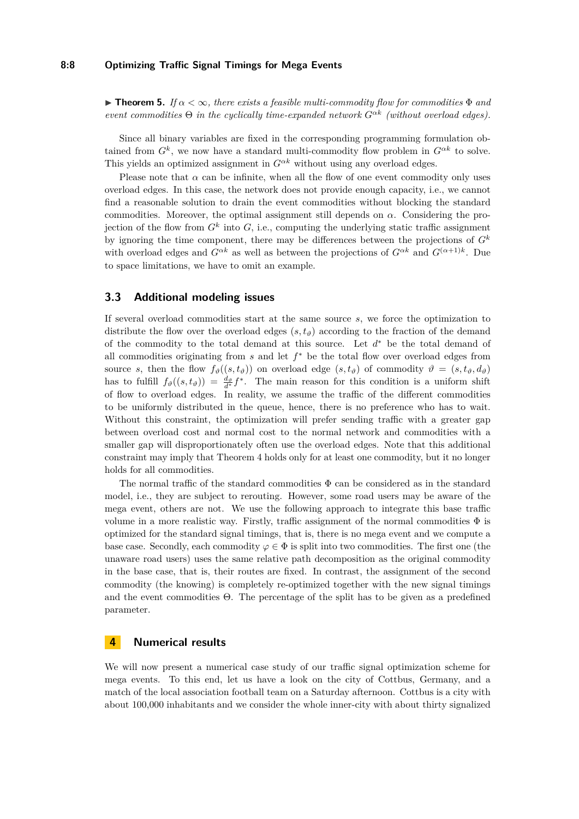#### **8:8 Optimizing Traffic Signal Timings for Mega Events**

**Find 5.** If  $\alpha < \infty$ , there exists a feasible multi-commodity flow for commodities  $\Phi$  and *event commodities* Θ *in the cyclically time-expanded network Gαk (without overload edges).*

Since all binary variables are fixed in the corresponding programming formulation obtained from  $G^k$ , we now have a standard multi-commodity flow problem in  $G^{\alpha k}$  to solve. This yields an optimized assignment in  $G^{\alpha k}$  without using any overload edges.

Please note that  $\alpha$  can be infinite, when all the flow of one event commodity only uses overload edges. In this case, the network does not provide enough capacity, i.e., we cannot find a reasonable solution to drain the event commodities without blocking the standard commodities. Moreover, the optimal assignment still depends on *α*. Considering the projection of the flow from  $G^k$  into  $G$ , i.e., computing the underlying static traffic assignment by ignoring the time component, there may be differences between the projections of  $G^k$ with overload edges and  $G^{\alpha k}$  as well as between the projections of  $G^{\alpha k}$  and  $G^{(\alpha+1)k}$ . Due to space limitations, we have to omit an example.

## **3.3 Additional modeling issues**

If several overload commodities start at the same source *s*, we force the optimization to distribute the flow over the overload edges  $(s, t_\vartheta)$  according to the fraction of the demand of the commodity to the total demand at this source. Let *d* <sup>∗</sup> be the total demand of all commodities originating from *s* and let *f* <sup>∗</sup> be the total flow over overload edges from source *s*, then the flow  $f_{\vartheta}((s, t_{\vartheta}))$  on overload edge  $(s, t_{\vartheta})$  of commodity  $\vartheta = (s, t_{\vartheta}, d_{\vartheta})$ has to fulfill  $f_{\vartheta}((s, t_{\vartheta})) = \frac{d_{\vartheta}}{d^*} f^*$ . The main reason for this condition is a uniform shift of flow to overload edges. In reality, we assume the traffic of the different commodities to be uniformly distributed in the queue, hence, there is no preference who has to wait. Without this constraint, the optimization will prefer sending traffic with a greater gap between overload cost and normal cost to the normal network and commodities with a smaller gap will disproportionately often use the overload edges. Note that this additional constraint may imply that Theorem [4](#page-6-0) holds only for at least one commodity, but it no longer holds for all commodities.

The normal traffic of the standard commodities  $\Phi$  can be considered as in the standard model, i.e., they are subject to rerouting. However, some road users may be aware of the mega event, others are not. We use the following approach to integrate this base traffic volume in a more realistic way. Firstly, traffic assignment of the normal commodities  $\Phi$  is optimized for the standard signal timings, that is, there is no mega event and we compute a base case. Secondly, each commodity  $\varphi \in \Phi$  is split into two commodities. The first one (the unaware road users) uses the same relative path decomposition as the original commodity in the base case, that is, their routes are fixed. In contrast, the assignment of the second commodity (the knowing) is completely re-optimized together with the new signal timings and the event commodities Θ. The percentage of the split has to be given as a predefined parameter.

## <span id="page-7-0"></span>**4 Numerical results**

We will now present a numerical case study of our traffic signal optimization scheme for mega events. To this end, let us have a look on the city of Cottbus, Germany, and a match of the local association football team on a Saturday afternoon. Cottbus is a city with about 100,000 inhabitants and we consider the whole inner-city with about thirty signalized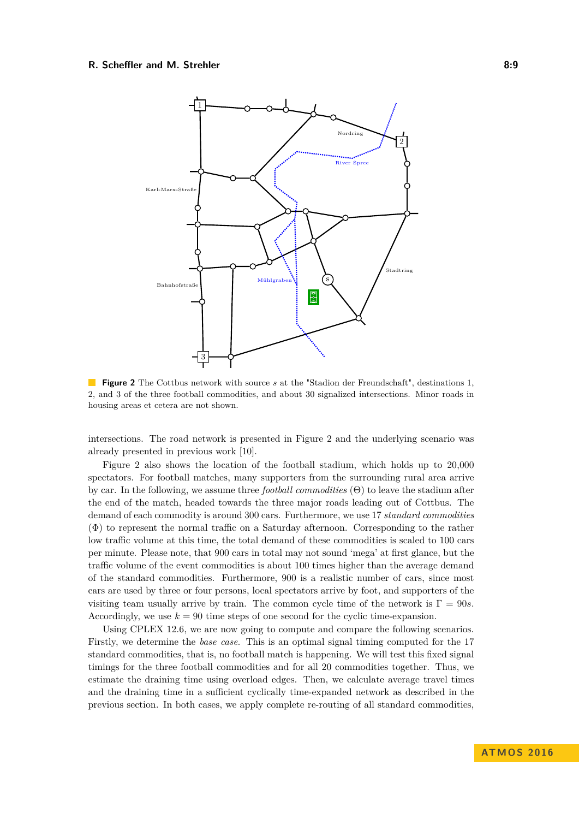#### <span id="page-8-0"></span>**R. Scheffler and M. Strehler 8:9 8:9**



**Figure 2** The Cottbus network with source *s* at the "Stadion der Freundschaft", destinations 1, 2, and 3 of the three football commodities, and about 30 signalized intersections. Minor roads in housing areas et cetera are not shown.

intersections. The road network is presented in Figure [2](#page-8-0) and the underlying scenario was already presented in previous work [\[10\]](#page-14-11).

Figure [2](#page-8-0) also shows the location of the football stadium, which holds up to 20,000 spectators. For football matches, many supporters from the surrounding rural area arrive by car. In the following, we assume three *football commodities* (Θ) to leave the stadium after the end of the match, headed towards the three major roads leading out of Cottbus. The demand of each commodity is around 300 cars. Furthermore, we use 17 *standard commodities* (Φ) to represent the normal traffic on a Saturday afternoon. Corresponding to the rather low traffic volume at this time, the total demand of these commodities is scaled to 100 cars per minute. Please note, that 900 cars in total may not sound 'mega' at first glance, but the traffic volume of the event commodities is about 100 times higher than the average demand of the standard commodities. Furthermore, 900 is a realistic number of cars, since most cars are used by three or four persons, local spectators arrive by foot, and supporters of the visiting team usually arrive by train. The common cycle time of the network is  $\Gamma = 90s$ . Accordingly, we use  $k = 90$  time steps of one second for the cyclic time-expansion.

Using CPLEX 12.6, we are now going to compute and compare the following scenarios. Firstly, we determine the *base case*. This is an optimal signal timing computed for the 17 standard commodities, that is, no football match is happening. We will test this fixed signal timings for the three football commodities and for all 20 commodities together. Thus, we estimate the draining time using overload edges. Then, we calculate average travel times and the draining time in a sufficient cyclically time-expanded network as described in the previous section. In both cases, we apply complete re-routing of all standard commodities,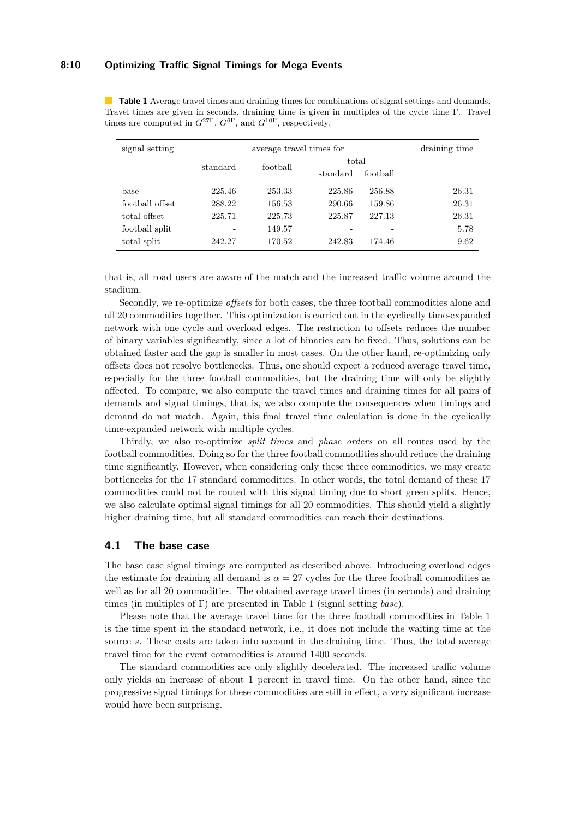## **8:10 Optimizing Traffic Signal Timings for Mega Events**

<span id="page-9-0"></span>**Table 1** Average travel times and draining times for combinations of signal settings and demands. Travel times are given in seconds, draining time is given in multiples of the cycle time Γ. Travel times are computed in  $G^{27\Gamma}$ ,  $G^{6\Gamma}$ , and  $G^{10\Gamma}$ , respectively.

| signal setting  | average travel times for |          |          |          | draining time |
|-----------------|--------------------------|----------|----------|----------|---------------|
|                 | standard                 | football | total    |          |               |
|                 |                          |          | standard | football |               |
| base            | 225.46                   | 253.33   | 225.86   | 256.88   | 26.31         |
| football offset | 288.22                   | 156.53   | 290.66   | 159.86   | 26.31         |
| total offset    | 225.71                   | 225.73   | 225.87   | 227.13   | 26.31         |
| football split  | -                        | 149.57   |          |          | 5.78          |
| total split     | 242.27                   | 170.52   | 242.83   | 174.46   | 9.62          |

that is, all road users are aware of the match and the increased traffic volume around the stadium.

Secondly, we re-optimize *offsets* for both cases, the three football commodities alone and all 20 commodities together. This optimization is carried out in the cyclically time-expanded network with one cycle and overload edges. The restriction to offsets reduces the number of binary variables significantly, since a lot of binaries can be fixed. Thus, solutions can be obtained faster and the gap is smaller in most cases. On the other hand, re-optimizing only offsets does not resolve bottlenecks. Thus, one should expect a reduced average travel time, especially for the three football commodities, but the draining time will only be slightly affected. To compare, we also compute the travel times and draining times for all pairs of demands and signal timings, that is, we also compute the consequences when timings and demand do not match. Again, this final travel time calculation is done in the cyclically time-expanded network with multiple cycles.

Thirdly, we also re-optimize *split times* and *phase orders* on all routes used by the football commodities. Doing so for the three football commodities should reduce the draining time significantly. However, when considering only these three commodities, we may create bottlenecks for the 17 standard commodities. In other words, the total demand of these 17 commodities could not be routed with this signal timing due to short green splits. Hence, we also calculate optimal signal timings for all 20 commodities. This should yield a slightly higher draining time, but all standard commodities can reach their destinations.

## **4.1 The base case**

The base case signal timings are computed as described above. Introducing overload edges the estimate for draining all demand is  $\alpha = 27$  cycles for the three football commodities as well as for all 20 commodities. The obtained average travel times (in seconds) and draining times (in multiples of Γ) are presented in Table [1](#page-9-0) (signal setting *base*).

Please note that the average travel time for the three football commodities in Table [1](#page-9-0) is the time spent in the standard network, i.e., it does not include the waiting time at the source *s*. These costs are taken into account in the draining time. Thus, the total average travel time for the event commodities is around 1400 seconds.

The standard commodities are only slightly decelerated. The increased traffic volume only yields an increase of about 1 percent in travel time. On the other hand, since the progressive signal timings for these commodities are still in effect, a very significant increase would have been surprising.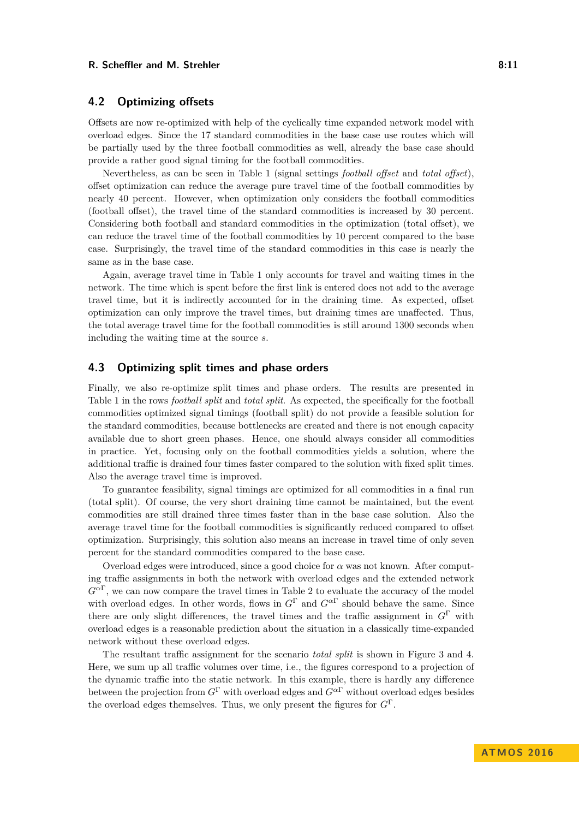#### **R. Scheffler and M. Strehler 8:11 8:11 8:11**

## **4.2 Optimizing offsets**

Offsets are now re-optimized with help of the cyclically time expanded network model with overload edges. Since the 17 standard commodities in the base case use routes which will be partially used by the three football commodities as well, already the base case should provide a rather good signal timing for the football commodities.

Nevertheless, as can be seen in Table [1](#page-9-0) (signal settings *football offset* and *total offset*), offset optimization can reduce the average pure travel time of the football commodities by nearly 40 percent. However, when optimization only considers the football commodities (football offset), the travel time of the standard commodities is increased by 30 percent. Considering both football and standard commodities in the optimization (total offset), we can reduce the travel time of the football commodities by 10 percent compared to the base case. Surprisingly, the travel time of the standard commodities in this case is nearly the same as in the base case.

Again, average travel time in Table [1](#page-9-0) only accounts for travel and waiting times in the network. The time which is spent before the first link is entered does not add to the average travel time, but it is indirectly accounted for in the draining time. As expected, offset optimization can only improve the travel times, but draining times are unaffected. Thus, the total average travel time for the football commodities is still around 1300 seconds when including the waiting time at the source *s*.

## **4.3 Optimizing split times and phase orders**

Finally, we also re-optimize split times and phase orders. The results are presented in Table [1](#page-9-0) in the rows *football split* and *total split*. As expected, the specifically for the football commodities optimized signal timings (football split) do not provide a feasible solution for the standard commodities, because bottlenecks are created and there is not enough capacity available due to short green phases. Hence, one should always consider all commodities in practice. Yet, focusing only on the football commodities yields a solution, where the additional traffic is drained four times faster compared to the solution with fixed split times. Also the average travel time is improved.

To guarantee feasibility, signal timings are optimized for all commodities in a final run (total split). Of course, the very short draining time cannot be maintained, but the event commodities are still drained three times faster than in the base case solution. Also the average travel time for the football commodities is significantly reduced compared to offset optimization. Surprisingly, this solution also means an increase in travel time of only seven percent for the standard commodities compared to the base case.

Overload edges were introduced, since a good choice for  $\alpha$  was not known. After computing traffic assignments in both the network with overload edges and the extended network  $G^{\alpha\Gamma}$ , we can now compare the travel times in Table [2](#page-11-0) to evaluate the accuracy of the model with overload edges. In other words, flows in  $G^{\Gamma}$  and  $G^{\alpha\Gamma}$  should behave the same. Since there are only slight differences, the travel times and the traffic assignment in *G*<sup>Γ</sup> with overload edges is a reasonable prediction about the situation in a classically time-expanded network without these overload edges.

The resultant traffic assignment for the scenario *total split* is shown in Figure [3](#page-11-1) and [4.](#page-12-0) Here, we sum up all traffic volumes over time, i.e., the figures correspond to a projection of the dynamic traffic into the static network. In this example, there is hardly any difference between the projection from *G*<sup>Γ</sup> with overload edges and *G<sup>α</sup>*<sup>Γ</sup> without overload edges besides the overload edges themselves. Thus, we only present the figures for *G*<sup>Γ</sup>.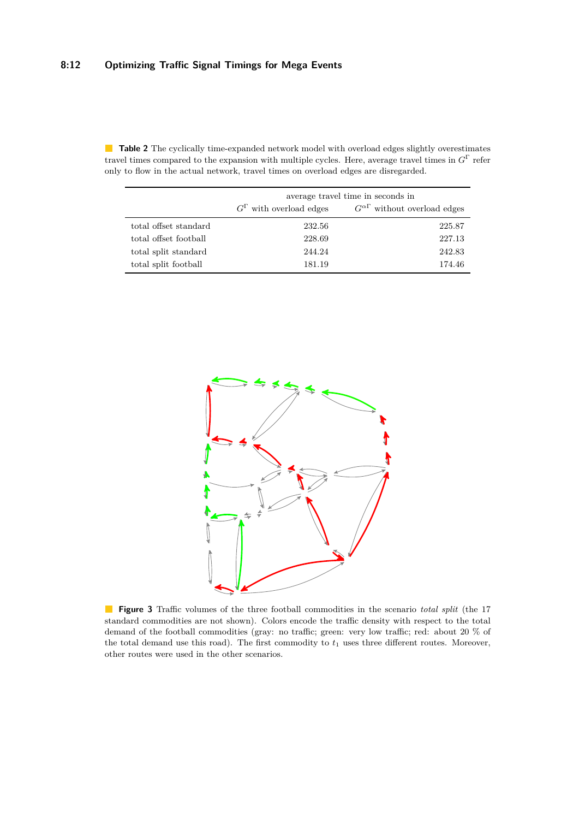|                       | average travel time in seconds in |                                           |  |
|-----------------------|-----------------------------------|-------------------------------------------|--|
|                       | $G^{\Gamma}$ with overload edges  | $G^{\alpha\Gamma}$ without overload edges |  |
| total offset standard | 232.56                            | 225.87                                    |  |
| total offset football | 228.69                            | 227.13                                    |  |
| total split standard  | 244.24                            | 242.83                                    |  |
| total split football  | 181.19                            | 174.46                                    |  |

<span id="page-11-0"></span>**Table 2** The cyclically time-expanded network model with overload edges slightly overestimates travel times compared to the expansion with multiple cycles. Here, average travel times in *G*<sup>Γ</sup> refer only to flow in the actual network, travel times on overload edges are disregarded.

<span id="page-11-1"></span>

**Figure 3** Traffic volumes of the three football commodities in the scenario *total split* (the 17 standard commodities are not shown). Colors encode the traffic density with respect to the total demand of the football commodities (gray: no traffic; green: very low traffic; red: about 20 % of the total demand use this road). The first commodity to  $t_1$  uses three different routes. Moreover, other routes were used in the other scenarios.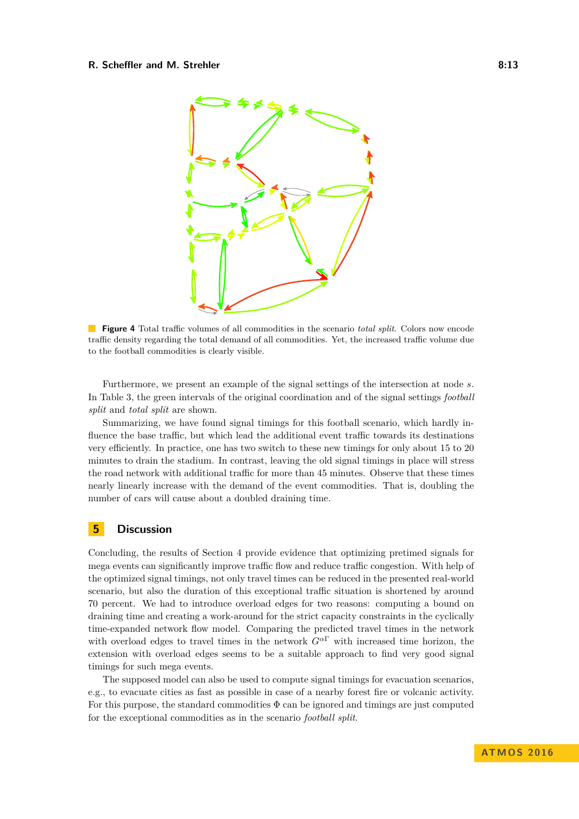#### <span id="page-12-0"></span>**R. Scheffler and M. Strehler 8:13 B. 8:13**



**Figure 4** Total traffic volumes of all commodities in the scenario *total split*. Colors now encode traffic density regarding the total demand of all commodities. Yet, the increased traffic volume due to the football commodities is clearly visible.

Furthermore, we present an example of the signal settings of the intersection at node *s*. In Table [3,](#page-13-0) the green intervals of the original coordination and of the signal settings *football split* and *total split* are shown.

Summarizing, we have found signal timings for this football scenario, which hardly influence the base traffic, but which lead the additional event traffic towards its destinations very efficiently. In practice, one has two switch to these new timings for only about 15 to 20 minutes to drain the stadium. In contrast, leaving the old signal timings in place will stress the road network with additional traffic for more than 45 minutes. Observe that these times nearly linearly increase with the demand of the event commodities. That is, doubling the number of cars will cause about a doubled draining time.

## **5 Discussion**

Concluding, the results of Section [4](#page-7-0) provide evidence that optimizing pretimed signals for mega events can significantly improve traffic flow and reduce traffic congestion. With help of the optimized signal timings, not only travel times can be reduced in the presented real-world scenario, but also the duration of this exceptional traffic situation is shortened by around 70 percent. We had to introduce overload edges for two reasons: computing a bound on draining time and creating a work-around for the strict capacity constraints in the cyclically time-expanded network flow model. Comparing the predicted travel times in the network with overload edges to travel times in the network  $G^{\alpha\Gamma}$  with increased time horizon, the extension with overload edges seems to be a suitable approach to find very good signal timings for such mega events.

The supposed model can also be used to compute signal timings for evacuation scenarios, e.g., to evacuate cities as fast as possible in case of a nearby forest fire or volcanic activity. For this purpose, the standard commodities  $\Phi$  can be ignored and timings are just computed for the exceptional commodities as in the scenario *football split*.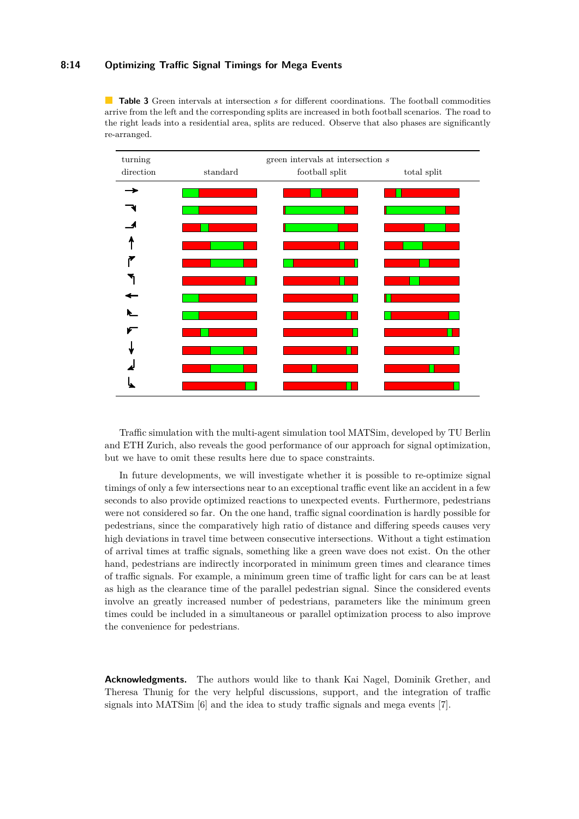## **8:14 Optimizing Traffic Signal Timings for Mega Events**

<span id="page-13-0"></span>**Table 3** Green intervals at intersection *s* for different coordinations. The football commodities arrive from the left and the corresponding splits are increased in both football scenarios. The road to the right leads into a residential area, splits are reduced. Observe that also phases are significantly re-arranged.



Traffic simulation with the multi-agent simulation tool MATSim, developed by TU Berlin and ETH Zurich, also reveals the good performance of our approach for signal optimization, but we have to omit these results here due to space constraints.

In future developments, we will investigate whether it is possible to re-optimize signal timings of only a few intersections near to an exceptional traffic event like an accident in a few seconds to also provide optimized reactions to unexpected events. Furthermore, pedestrians were not considered so far. On the one hand, traffic signal coordination is hardly possible for pedestrians, since the comparatively high ratio of distance and differing speeds causes very high deviations in travel time between consecutive intersections. Without a tight estimation of arrival times at traffic signals, something like a green wave does not exist. On the other hand, pedestrians are indirectly incorporated in minimum green times and clearance times of traffic signals. For example, a minimum green time of traffic light for cars can be at least as high as the clearance time of the parallel pedestrian signal. Since the considered events involve an greatly increased number of pedestrians, parameters like the minimum green times could be included in a simultaneous or parallel optimization process to also improve the convenience for pedestrians.

**Acknowledgments.** The authors would like to thank Kai Nagel, Dominik Grether, and Theresa Thunig for the very helpful discussions, support, and the integration of traffic signals into MATSim [\[6\]](#page-14-17) and the idea to study traffic signals and mega events [\[7\]](#page-14-18).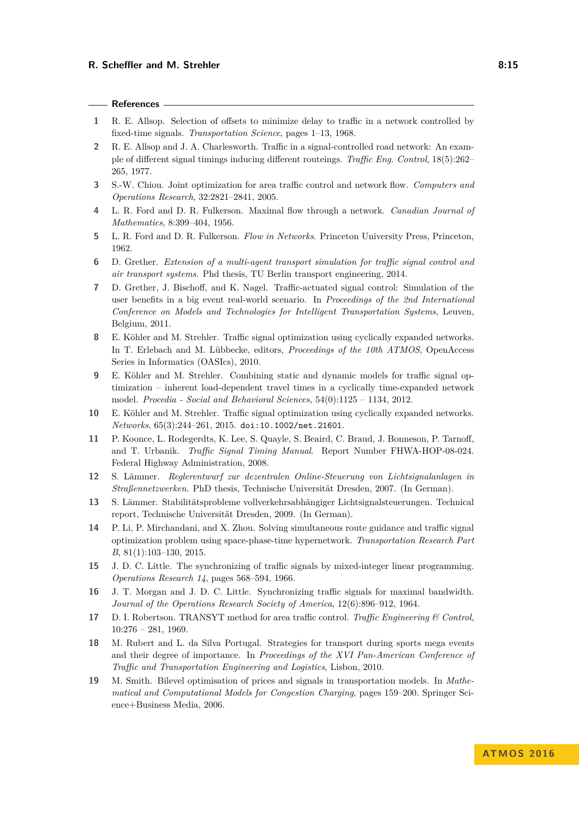#### **References**

- <span id="page-14-3"></span>**1** R. E. Allsop. Selection of offsets to minimize delay to traffic in a network controlled by fixed-time signals. *Transportation Science*, pages 1–13, 1968.
- <span id="page-14-5"></span>**2** R. E. Allsop and J. A. Charlesworth. Traffic in a signal-controlled road network: An example of different signal timings inducing different routeings. *Traffic Eng. Control*, 18(5):262– 265, 1977.
- <span id="page-14-6"></span>**3** S.-W. Chiou. Joint optimization for area traffic control and network flow. *Computers and Operations Research*, 32:2821–2841, 2005.
- <span id="page-14-15"></span>**4** L. R. Ford and D. R. Fulkerson. Maximal flow through a network. *Canadian Journal of Mathematics*, 8:399–404, 1956.
- <span id="page-14-16"></span>**5** L. R. Ford and D. R. Fulkerson. *Flow in Networks*. Princeton University Press, Princeton, 1962.
- <span id="page-14-17"></span>**6** D. Grether. *Extension of a multi-agent transport simulation for traffic signal control and air transport systems*. Phd thesis, TU Berlin transport engineering, 2014.
- <span id="page-14-18"></span>**7** D. Grether, J. Bischoff, and K. Nagel. Traffic-actuated signal control: Simulation of the user benefits in a big event real-world scenario. In *Proceedings of the 2nd International Conference on Models and Technologies for Intelligent Transportation Systems*, Leuven, Belgium, 2011.
- <span id="page-14-9"></span>**8** E. Köhler and M. Strehler. Traffic signal optimization using cyclically expanded networks. In T. Erlebach and M. Lübbecke, editors, *Proceedings of the 10th ATMOS*, OpenAccess Series in Informatics (OASIcs), 2010.
- <span id="page-14-10"></span>**9** E. Köhler and M. Strehler. Combining static and dynamic models for traffic signal optimization – inherent load-dependent travel times in a cyclically time-expanded network model. *Procedia - Social and Behavioral Sciences*, 54(0):1125 – 1134, 2012.
- <span id="page-14-11"></span>**10** E. Köhler and M. Strehler. Traffic signal optimization using cyclically expanded networks. *Networks*, 65(3):244–261, 2015. [doi:10.1002/net.21601](http://dx.doi.org/10.1002/net.21601).
- <span id="page-14-0"></span>**11** P. Koonce, L. Rodegerdts, K. Lee, S. Quayle, S. Beaird, C. Braud, J. Bonneson, P. Tarnoff, and T. Urbanik. *Traffic Signal Timing Manual*. Report Number FHWA-HOP-08-024. Federal Highway Administration, 2008.
- <span id="page-14-12"></span>**12** S. Lämmer. *Reglerentwurf zur dezentralen Online-Steuerung von Lichtsignalanlagen in Straßennetzwerken*. PhD thesis, Technische Universität Dresden, 2007. (In German).
- <span id="page-14-13"></span>**13** S. Lämmer. Stabilitätsprobleme vollverkehrsabhängiger Lichtsignalsteuerungen. Technical report, Technische Universität Dresden, 2009. (In German).
- <span id="page-14-7"></span>**14** P. Li, P. Mirchandani, and X. Zhou. Solving simultaneous route guidance and traffic signal optimization problem using space-phase-time hypernetwork. *Transportation Research Part B*, 81(1):103–130, 2015.
- <span id="page-14-2"></span>**15** J. D. C. Little. The synchronizing of traffic signals by mixed-integer linear programming. *Operations Research 14*, pages 568–594, 1966.
- <span id="page-14-1"></span>**16** J. T. Morgan and J. D. C. Little. Synchronizing traffic signals for maximal bandwidth. *Journal of the Operations Research Society of America*, 12(6):896–912, 1964.
- <span id="page-14-4"></span>**17** D. I. Robertson. TRANSYT method for area traffic control. *Traffic Engineering & Control*, 10:276 – 281, 1969.
- <span id="page-14-14"></span>**18** M. Rubert and L. da Silva Portugal. Strategies for transport during sports mega events and their degree of importance. In *Proceedings of the XVI Pan-American Conference of Traffic and Transportation Engineering and Logistics*, Lisbon, 2010.
- <span id="page-14-8"></span>**19** M. Smith. Bilevel optimisation of prices and signals in transportation models. In *Mathematical and Computational Models for Congestion Charging*, pages 159–200. Springer Science+Business Media, 2006.